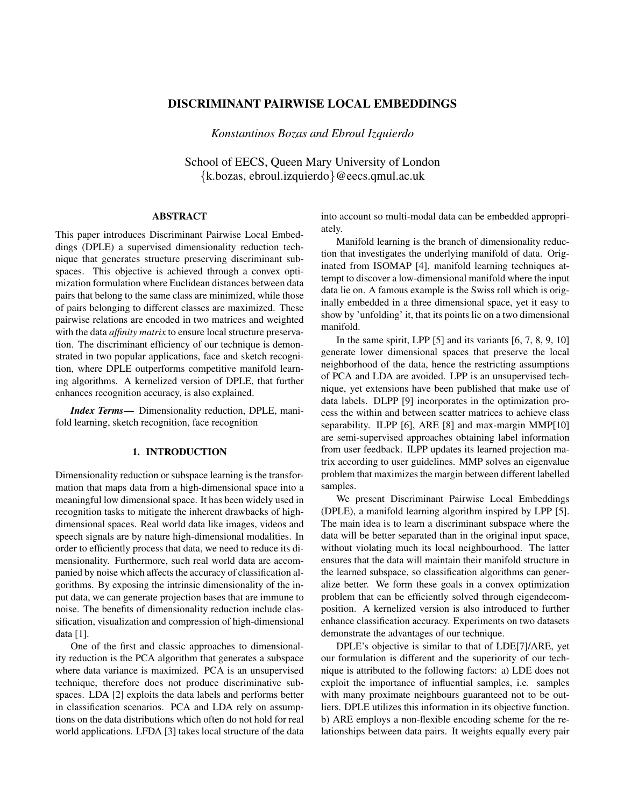# DISCRIMINANT PAIRWISE LOCAL EMBEDDINGS

*Konstantinos Bozas and Ebroul Izquierdo*

School of EECS, Queen Mary University of London {k.bozas, ebroul.izquierdo}@eecs.qmul.ac.uk

#### ABSTRACT

This paper introduces Discriminant Pairwise Local Embeddings (DPLE) a supervised dimensionality reduction technique that generates structure preserving discriminant subspaces. This objective is achieved through a convex optimization formulation where Euclidean distances between data pairs that belong to the same class are minimized, while those of pairs belonging to different classes are maximized. These pairwise relations are encoded in two matrices and weighted with the data *affinity matrix* to ensure local structure preservation. The discriminant efficiency of our technique is demonstrated in two popular applications, face and sketch recognition, where DPLE outperforms competitive manifold learning algorithms. A kernelized version of DPLE, that further enhances recognition accuracy, is also explained.

*Index Terms*— Dimensionality reduction, DPLE, manifold learning, sketch recognition, face recognition

#### 1. INTRODUCTION

Dimensionality reduction or subspace learning is the transformation that maps data from a high-dimensional space into a meaningful low dimensional space. It has been widely used in recognition tasks to mitigate the inherent drawbacks of highdimensional spaces. Real world data like images, videos and speech signals are by nature high-dimensional modalities. In order to efficiently process that data, we need to reduce its dimensionality. Furthermore, such real world data are accompanied by noise which affects the accuracy of classification algorithms. By exposing the intrinsic dimensionality of the input data, we can generate projection bases that are immune to noise. The benefits of dimensionality reduction include classification, visualization and compression of high-dimensional data [1].

One of the first and classic approaches to dimensionality reduction is the PCA algorithm that generates a subspace where data variance is maximized. PCA is an unsupervised technique, therefore does not produce discriminative subspaces. LDA [2] exploits the data labels and performs better in classification scenarios. PCA and LDA rely on assumptions on the data distributions which often do not hold for real world applications. LFDA [3] takes local structure of the data

into account so multi-modal data can be embedded appropriately.

Manifold learning is the branch of dimensionality reduction that investigates the underlying manifold of data. Originated from ISOMAP [4], manifold learning techniques attempt to discover a low-dimensional manifold where the input data lie on. A famous example is the Swiss roll which is originally embedded in a three dimensional space, yet it easy to show by 'unfolding' it, that its points lie on a two dimensional manifold.

In the same spirit, LPP  $[5]$  and its variants  $[6, 7, 8, 9, 10]$ generate lower dimensional spaces that preserve the local neighborhood of the data, hence the restricting assumptions of PCA and LDA are avoided. LPP is an unsupervised technique, yet extensions have been published that make use of data labels. DLPP [9] incorporates in the optimization process the within and between scatter matrices to achieve class separability. ILPP [6], ARE [8] and max-margin MMP[10] are semi-supervised approaches obtaining label information from user feedback. ILPP updates its learned projection matrix according to user guidelines. MMP solves an eigenvalue problem that maximizes the margin between different labelled samples.

We present Discriminant Pairwise Local Embeddings (DPLE), a manifold learning algorithm inspired by LPP [5]. The main idea is to learn a discriminant subspace where the data will be better separated than in the original input space, without violating much its local neighbourhood. The latter ensures that the data will maintain their manifold structure in the learned subspace, so classification algorithms can generalize better. We form these goals in a convex optimization problem that can be efficiently solved through eigendecomposition. A kernelized version is also introduced to further enhance classification accuracy. Experiments on two datasets demonstrate the advantages of our technique.

DPLE's objective is similar to that of LDE[7]/ARE, yet our formulation is different and the superiority of our technique is attributed to the following factors: a) LDE does not exploit the importance of influential samples, i.e. samples with many proximate neighbours guaranteed not to be outliers. DPLE utilizes this information in its objective function. b) ARE employs a non-flexible encoding scheme for the relationships between data pairs. It weights equally every pair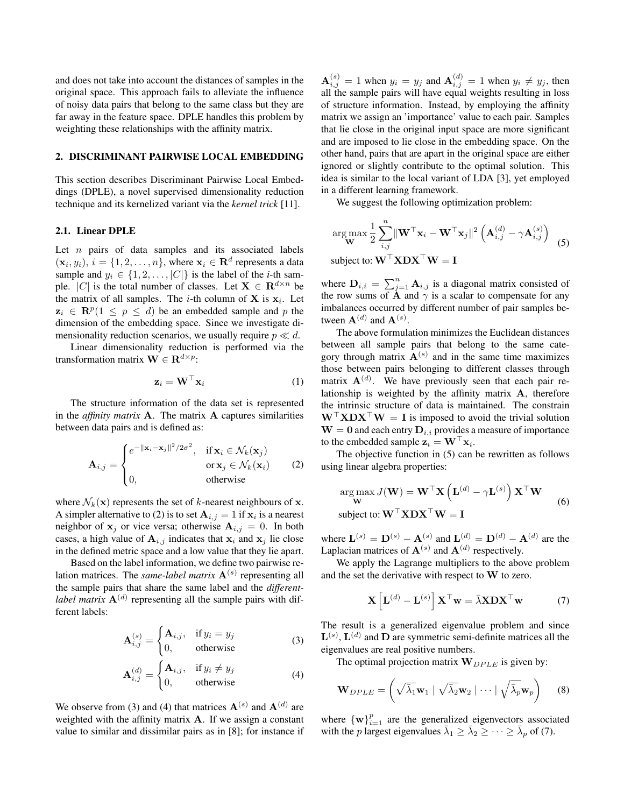and does not take into account the distances of samples in the original space. This approach fails to alleviate the influence of noisy data pairs that belong to the same class but they are far away in the feature space. DPLE handles this problem by weighting these relationships with the affinity matrix.

#### 2. DISCRIMINANT PAIRWISE LOCAL EMBEDDING

This section describes Discriminant Pairwise Local Embeddings (DPLE), a novel supervised dimensionality reduction technique and its kernelized variant via the *kernel trick* [11].

#### 2.1. Linear DPLE

Let  $n$  pairs of data samples and its associated labels  $(\mathbf{x}_i, y_i)$ ,  $i = \{1, 2, ..., n\}$ , where  $\mathbf{x}_i \in \mathbf{R}^d$  represents a data sample and  $y_i \in \{1, 2, ..., |C|\}$  is the label of the *i*-th sample. |C| is the total number of classes. Let  $X \in \mathbb{R}^{d \times n}$  be the matrix of all samples. The *i*-th column of **X** is  $x_i$ . Let  $z_i \in \mathbb{R}^p (1 \leq p \leq d)$  be an embedded sample and p the dimension of the embedding space. Since we investigate dimensionality reduction scenarios, we usually require  $p \ll d$ .

Linear dimensionality reduction is performed via the transformation matrix  $\mathbf{W} \in \mathbf{R}^{d \times p}$ :

$$
\mathbf{z}_i = \mathbf{W}^\top \mathbf{x}_i \tag{1}
$$

The structure information of the data set is represented in the *affinity matrix* A. The matrix A captures similarities between data pairs and is defined as:

$$
\mathbf{A}_{i,j} = \begin{cases} e^{-\|\mathbf{x}_i - \mathbf{x}_j\|^2/2\sigma^2}, & \text{if } \mathbf{x}_i \in \mathcal{N}_k(\mathbf{x}_j) \\ \text{or } \mathbf{x}_j \in \mathcal{N}_k(\mathbf{x}_i) \\ 0, & \text{otherwise} \end{cases}
$$
 (2)

where  $\mathcal{N}_k(\mathbf{x})$  represents the set of k-nearest neighbours of **x**. A simpler alternative to (2) is to set  $\mathbf{A}_{i,j} = 1$  if  $\mathbf{x}_i$  is a nearest neighbor of  $x_i$  or vice versa; otherwise  $A_{i,j} = 0$ . In both cases, a high value of  $A_{i,j}$  indicates that  $x_i$  and  $x_j$  lie close in the defined metric space and a low value that they lie apart.

Based on the label information, we define two pairwise relation matrices. The *same-label matrix*  $A^{(s)}$  representing all the sample pairs that share the same label and the *differentlabel matrix*  $\mathbf{A}^{(d)}$  representing all the sample pairs with different labels:

$$
\mathbf{A}_{i,j}^{(s)} = \begin{cases} \mathbf{A}_{i,j}, & \text{if } y_i = y_j \\ 0, & \text{otherwise} \end{cases}
$$
 (3)

$$
\mathbf{A}_{i,j}^{(d)} = \begin{cases} \mathbf{A}_{i,j}, & \text{if } y_i \neq y_j \\ 0, & \text{otherwise} \end{cases}
$$
 (4)

We observe from (3) and (4) that matrices  $\mathbf{A}^{(s)}$  and  $\mathbf{A}^{(d)}$  are weighted with the affinity matrix A. If we assign a constant value to similar and dissimilar pairs as in [8]; for instance if

 $\mathbf{A}_{i,j}^{(s)} = 1$  when  $y_i = y_j$  and  $\mathbf{A}_{i,j}^{(d)} = 1$  when  $y_i \neq y_j$ , then all the sample pairs will have equal weights resulting in loss of structure information. Instead, by employing the affinity matrix we assign an 'importance' value to each pair. Samples that lie close in the original input space are more significant and are imposed to lie close in the embedding space. On the other hand, pairs that are apart in the original space are either ignored or slightly contribute to the optimal solution. This idea is similar to the local variant of LDA [3], yet employed in a different learning framework.

We suggest the following optimization problem:

$$
\arg \max_{\mathbf{W}} \frac{1}{2} \sum_{i,j}^{n} \|\mathbf{W}^{\top} \mathbf{x}_{i} - \mathbf{W}^{\top} \mathbf{x}_{j}\|^{2} \left(\mathbf{A}_{i,j}^{(d)} - \gamma \mathbf{A}_{i,j}^{(s)}\right)
$$
  
subject to: 
$$
\mathbf{W}^{\top} \mathbf{X} \mathbf{D} \mathbf{X}^{\top} \mathbf{W} = \mathbf{I}
$$
 (5)

where  $D_{i,i} = \sum_{j=1}^{n} A_{i,j}$  is a diagonal matrix consisted of the row sums of  $\hat{A}$  and  $\gamma$  is a scalar to compensate for any imbalances occurred by different number of pair samples between  $\mathbf{A}^{(d)}$  and  $\mathbf{A}^{(s)}$ .

The above formulation minimizes the Euclidean distances between all sample pairs that belong to the same category through matrix  $\mathbf{A}^{(s)}$  and in the same time maximizes those between pairs belonging to different classes through matrix  $\mathbf{A}^{(d)}$ . We have previously seen that each pair relationship is weighted by the affinity matrix A, therefore the intrinsic structure of data is maintained. The constrain  $W^{\top}XDX^{\top}W = I$  is imposed to avoid the trivial solution  $W = 0$  and each entry  $D_{i,i}$  provides a measure of importance to the embedded sample  $\mathbf{z}_i = \mathbf{W}^\top \mathbf{x}_i$ .

The objective function in (5) can be rewritten as follows using linear algebra properties:

$$
\arg\max_{\mathbf{W}} J(\mathbf{W}) = \mathbf{W}^{\top} \mathbf{X} \left( \mathbf{L}^{(d)} - \gamma \mathbf{L}^{(s)} \right) \mathbf{X}^{\top} \mathbf{W}
$$
\n
$$
\text{subject to: } \mathbf{W}^{\top} \mathbf{X} \mathbf{D} \mathbf{X}^{\top} \mathbf{W} = \mathbf{I}
$$
\n
$$
(6)
$$

where  $\mathbf{L}^{(s)} = \mathbf{D}^{(s)} - \mathbf{A}^{(s)}$  and  $\mathbf{L}^{(d)} = \mathbf{D}^{(d)} - \mathbf{A}^{(d)}$  are the Laplacian matrices of  $A^{(s)}$  and  $A^{(d)}$  respectively.

We apply the Lagrange multipliers to the above problem and the set the derivative with respect to W to zero.

$$
\mathbf{X}\left[\mathbf{L}^{(d)} - \mathbf{L}^{(s)}\right] \mathbf{X}^{\top} \mathbf{w} = \bar{\lambda} \mathbf{X} \mathbf{D} \mathbf{X}^{\top} \mathbf{w} \tag{7}
$$

The result is a generalized eigenvalue problem and since  $\mathbf{L}^{(s)}$ ,  $\mathbf{L}^{(d)}$  and  $\mathbf{D}$  are symmetric semi-definite matrices all the eigenvalues are real positive numbers.

The optimal projection matrix  $\mathbf{W}_{DPLE}$  is given by:

$$
\mathbf{W}_{DPLE} = \left(\sqrt{\overline{\lambda}_1}\mathbf{w}_1 \mid \sqrt{\overline{\lambda}_2}\mathbf{w}_2 \mid \cdots \mid \sqrt{\overline{\lambda}_p}\mathbf{w}_p\right) \qquad (8)
$$

where  $\{w\}_{i=1}^p$  are the generalized eigenvectors associated with the *p* largest eigenvalues  $\bar{\lambda}_1 \geq \bar{\lambda}_2 \geq \cdots \geq \bar{\lambda}_p$  of (7).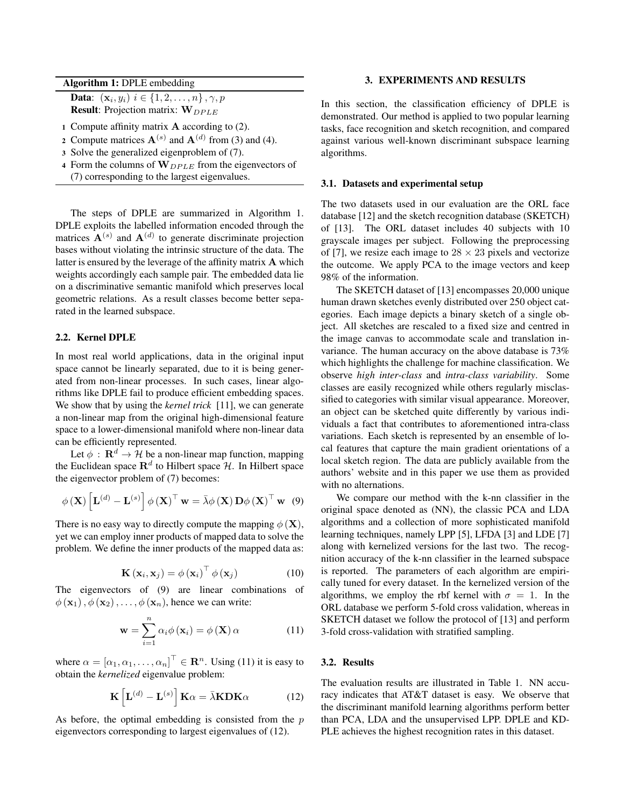Algorithm 1: DPLE embedding

**Data:**  $(x_i, y_i)$   $i \in \{1, 2, ..., n\}$ ,  $\gamma$ ,  $p$ **Result:** Projection matrix:  $W_{DPLE}$ 

- 1 Compute affinity matrix  $\bf{A}$  according to (2).
- 2 Compute matrices  $\mathbf{A}^{(s)}$  and  $\mathbf{A}^{(d)}$  from (3) and (4).
- 3 Solve the generalized eigenproblem of (7).
- 4 Form the columns of  $W_{DPLE}$  from the eigenvectors of (7) corresponding to the largest eigenvalues.

The steps of DPLE are summarized in Algorithm 1. DPLE exploits the labelled information encoded through the matrices  $\mathbf{A}^{(s)}$  and  $\mathbf{A}^{(d)}$  to generate discriminate projection bases without violating the intrinsic structure of the data. The latter is ensured by the leverage of the affinity matrix A which weights accordingly each sample pair. The embedded data lie on a discriminative semantic manifold which preserves local geometric relations. As a result classes become better separated in the learned subspace.

# 2.2. Kernel DPLE

In most real world applications, data in the original input space cannot be linearly separated, due to it is being generated from non-linear processes. In such cases, linear algorithms like DPLE fail to produce efficient embedding spaces. We show that by using the *kernel trick* [11], we can generate a non-linear map from the original high-dimensional feature space to a lower-dimensional manifold where non-linear data can be efficiently represented.

Let  $\phi : \mathbf{R}^d \to \mathcal{H}$  be a non-linear map function, mapping the Euclidean space  $\mathbf{R}^{d}$  to Hilbert space  $\mathcal{H}$ . In Hilbert space the eigenvector problem of (7) becomes:

$$
\phi\left(\mathbf{X}\right)\left[\mathbf{L}^{\left(d\right)}-\mathbf{L}^{\left(s\right)}\right]\phi\left(\mathbf{X}\right)^{\top}\mathbf{w}=\bar{\lambda}\phi\left(\mathbf{X}\right)\mathbf{D}\phi\left(\mathbf{X}\right)^{\top}\mathbf{w}\quad(9)
$$

There is no easy way to directly compute the mapping  $\phi(\mathbf{X})$ , yet we can employ inner products of mapped data to solve the problem. We define the inner products of the mapped data as:

$$
\mathbf{K}\left(\mathbf{x}_{i}, \mathbf{x}_{j}\right) = \phi\left(\mathbf{x}_{i}\right)^{\top} \phi\left(\mathbf{x}_{j}\right) \tag{10}
$$

The eigenvectors of (9) are linear combinations of  $\phi(\mathbf{x}_1), \phi(\mathbf{x}_2), \dots, \phi(\mathbf{x}_n)$ , hence we can write:

$$
\mathbf{w} = \sum_{i=1}^{n} \alpha_i \phi(\mathbf{x}_i) = \phi(\mathbf{X}) \alpha \qquad (11)
$$

where  $\alpha = [\alpha_1, \alpha_1, \dots, \alpha_n]^\top \in \mathbf{R}^n$ . Using (11) it is easy to obtain the *kernelized* eigenvalue problem:

$$
\mathbf{K}\left[\mathbf{L}^{(d)} - \mathbf{L}^{(s)}\right] \mathbf{K}\alpha = \bar{\lambda}\mathbf{K}\mathbf{D}\mathbf{K}\alpha \tag{12}
$$

As before, the optimal embedding is consisted from the  $p$ eigenvectors corresponding to largest eigenvalues of (12).

### 3. EXPERIMENTS AND RESULTS

In this section, the classification efficiency of DPLE is demonstrated. Our method is applied to two popular learning tasks, face recognition and sketch recognition, and compared against various well-known discriminant subspace learning algorithms.

#### 3.1. Datasets and experimental setup

The two datasets used in our evaluation are the ORL face database [12] and the sketch recognition database (SKETCH) of [13]. The ORL dataset includes 40 subjects with 10 grayscale images per subject. Following the preprocessing of [7], we resize each image to  $28 \times 23$  pixels and vectorize the outcome. We apply PCA to the image vectors and keep 98% of the information.

The SKETCH dataset of [13] encompasses 20,000 unique human drawn sketches evenly distributed over 250 object categories. Each image depicts a binary sketch of a single object. All sketches are rescaled to a fixed size and centred in the image canvas to accommodate scale and translation invariance. The human accuracy on the above database is 73% which highlights the challenge for machine classification. We observe *high inter-class* and *intra-class variability*. Some classes are easily recognized while others regularly misclassified to categories with similar visual appearance. Moreover, an object can be sketched quite differently by various individuals a fact that contributes to aforementioned intra-class variations. Each sketch is represented by an ensemble of local features that capture the main gradient orientations of a local sketch region. The data are publicly available from the authors' website and in this paper we use them as provided with no alternations.

We compare our method with the k-nn classifier in the original space denoted as (NN), the classic PCA and LDA algorithms and a collection of more sophisticated manifold learning techniques, namely LPP [5], LFDA [3] and LDE [7] along with kernelized versions for the last two. The recognition accuracy of the k-nn classifier in the learned subspace is reported. The parameters of each algorithm are empirically tuned for every dataset. In the kernelized version of the algorithms, we employ the rbf kernel with  $\sigma = 1$ . In the ORL database we perform 5-fold cross validation, whereas in SKETCH dataset we follow the protocol of [13] and perform 3-fold cross-validation with stratified sampling.

# 3.2. Results

The evaluation results are illustrated in Table 1. NN accuracy indicates that AT&T dataset is easy. We observe that the discriminant manifold learning algorithms perform better than PCA, LDA and the unsupervised LPP. DPLE and KD-PLE achieves the highest recognition rates in this dataset.